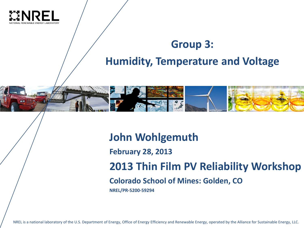

#### **Group 3: Humidity, Temperature and Voltage**



**John Wohlgemuth**

**February 28, 2013**

**2013 Thin Film PV Reliability Workshop**

**Colorado School of Mines: Golden, CO**

**NREL/PR-5200-59294** 

NREL is a national laboratory of the U.S. Department of Energy, Office of Energy Efficiency and Renewable Energy, operated by the Alliance for Sustainable Energy, LLC.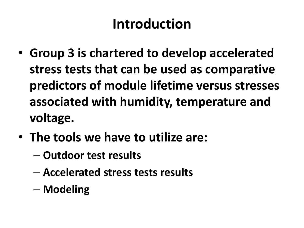## **Introduction**

- **Group 3 is chartered to develop accelerated stress tests that can be used as comparative predictors of module lifetime versus stresses associated with humidity, temperature and voltage.**
- **The tools we have to utilize are:**
	- **Outdoor test results**
	- **Accelerated stress tests results**
	- **Modeling**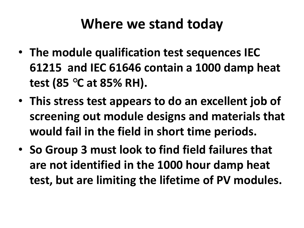## **Where we stand today**

- **The module qualification test sequences IEC 61215 and IEC 61646 contain a 1000 damp heat test (85 °C at 85% RH).**
- **This stress test appears to do an excellent job of screening out module designs and materials that would fail in the field in short time periods.**
- **So Group 3 must look to find field failures that are not identified in the 1000 hour damp heat test, but are limiting the lifetime of PV modules.**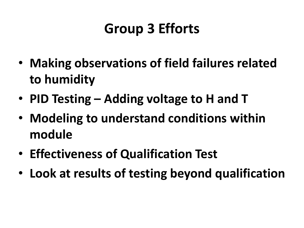## **Group 3 Efforts**

- **Making observations of field failures related to humidity**
- **PID Testing – Adding voltage to H and T**
- **Modeling to understand conditions within module**
- **Effectiveness of Qualification Test**
- **Look at results of testing beyond qualification**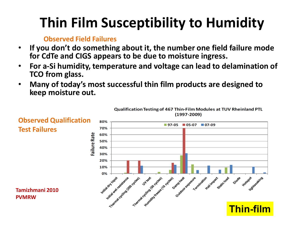# **Thin Film Susceptibility to Humidity**

#### **Observed Field Failures**

- **If you don't do something about it, the number one field failure mode for CdTe and CIGS appears to be due to moisture ingress.**
- **For a-Si humidity, temperature and voltage can lead to delamination of TCO from glass.**
- **Many of today's most successful thin film products are designed to keep moisture out.**

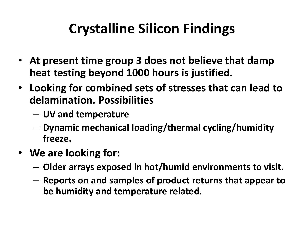## **Crystalline Silicon Findings**

- **At present time group 3 does not believe that damp heat testing beyond 1000 hours is justified.**
- **Looking for combined sets of stresses that can lead to delamination. Possibilities**
	- **UV and temperature**
	- **Dynamic mechanical loading/thermal cycling/humidity freeze.**
- **We are looking for:** 
	- **Older arrays exposed in hot/humid environments to visit.**
	- **Reports on and samples of product returns that appear to be humidity and temperature related.**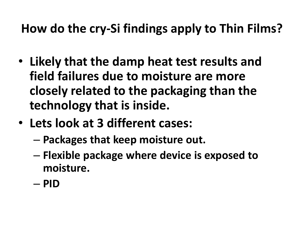### **How do the cry-Si findings apply to Thin Films?**

- **Likely that the damp heat test results and field failures due to moisture are more closely related to the packaging than the technology that is inside.**
- **Lets look at 3 different cases:**
	- **Packages that keep moisture out.**
	- **Flexible package where device is exposed to moisture.**
	- **PID**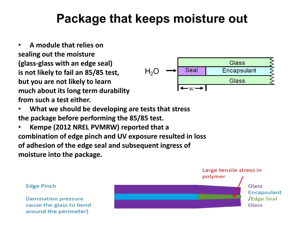#### **Package that keeps moisture out**

• **A module that relies on sealing out the moisture (glass-glass with an edge seal) is not likely to fail an 85/85 test, but you are not likely to learn much about its long term durability from such a test either.**



- **What we should be developing are tests that stress the package before performing the 85/85 test.**
- **Kempe (2012 NREL PVMRW) reported that a combination of edge pinch and UV exposure resulted in loss of adhesion of the edge seal and subsequent ingress of moisture into the package.**

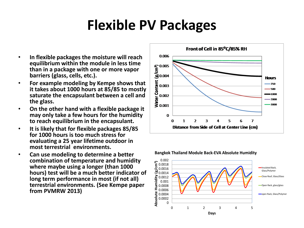## **Flexible PV Packages**

- **In flexible packages the moisture will reach equilibrium within the module in less time than in a package with one or more vapor barriers (glass, cells, etc.).**
- **For example modeling by Kempe shows that it takes about 1000 hours at 85/85 to mostly saturate the encapsulant between a cell and the glass.**
- **On the other hand with a flexible package it may only take a few hours for the humidity to reach equilibrium in the encapsulant.**
- **It is likely that for flexible packages 85/85 for 1000 hours is too much stress for evaluating a 25 year lifetime outdoor in most terrestrial environments.**
- **Can use modeling to determine a better combination of temperature and humidity where maybe using a longer (than 1000 hours) test will be a much better indicator of long term performance in most (if not all) terrestrial environments. (See Kempe paper from PVMRW 2013)**



0.002 **Absolute Humidity (g/cm3)** 0.0018 Insulated Back, 0.0016 Glass/Polymer 0.0014 Close Roof, Glass/Glass 0.0012 0.001 0.0008 Open Rack, glass/glass  $\Xi$  0.0006 0.0004 open Rack, Glass/PolymerAbsol 0.0002  $\Omega$ 0 1 2 3 4 5 **Days**

**Bangkok Thailand Module Back-EVA Absolute Humidity**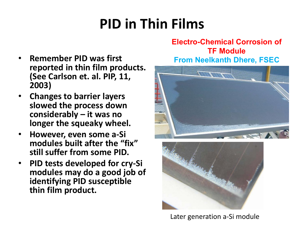# **PID in Thin Films**

#### **Electro-Chemical Corrosion of TF Module**

- **Remember PID was first reported in thin film products. (See Carlson et. al. PIP, 11, 2003)**
- **Changes to barrier layers slowed the process down considerably – it was no longer the squeaky wheel.**
- **However, even some a-Si modules built after the "fix" still suffer from some PID.**
- **PID tests developed for cry-Si modules may do a good job of identifying PID susceptible thin film product.**

#### **From Neelkanth Dhere, FSEC**





Later generation a-Si module